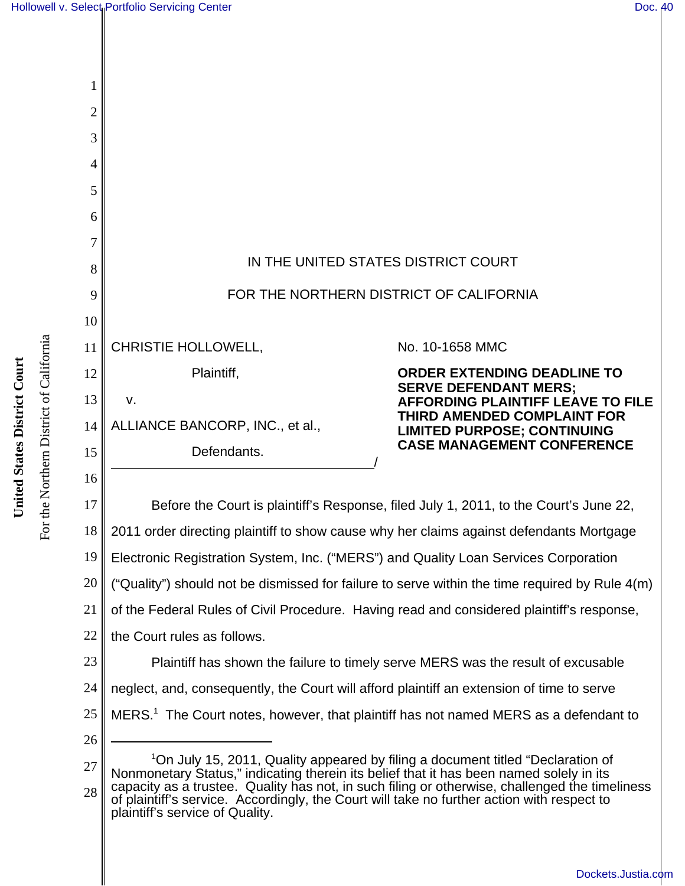

For the Northern District of California

For the Northern District of California